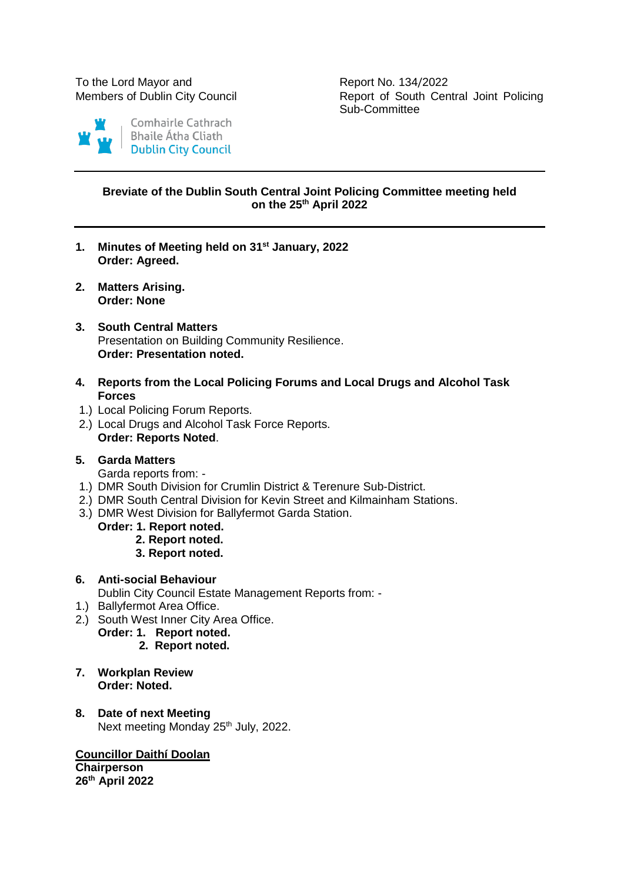To the Lord Mayor and To the Lord Mayor and Report No. 134/2022



Members of Dublin City Council **Report of South Central Joint Policing** Sub-Committee

### **Breviate of the Dublin South Central Joint Policing Committee meeting held on the 25th April 2022**

- **1. Minutes of Meeting held on 31st January, 2022 Order: Agreed.**
- **2. Matters Arising. Order: None**
- **3. South Central Matters** Presentation on Building Community Resilience. **Order: Presentation noted.**
- **4. Reports from the Local Policing Forums and Local Drugs and Alcohol Task Forces**
- 1.) Local Policing Forum Reports.
- 2.) Local Drugs and Alcohol Task Force Reports. **Order: Reports Noted**.

# **5. Garda Matters**

Garda reports from: -

- 1.) DMR South Division for Crumlin District & Terenure Sub-District.
- 2.) DMR South Central Division for Kevin Street and Kilmainham Stations.
- 3.) DMR West Division for Ballyfermot Garda Station.
	- **Order: 1. Report noted.** 
		- **2. Report noted.**
		- **3. Report noted.**
- **6. Anti-social Behaviour**
	- Dublin City Council Estate Management Reports from: -
- 1.) Ballyfermot Area Office.
- 2.) South West Inner City Area Office.
	- **Order: 1. Report noted. 2. Report noted.**
- **7. Workplan Review Order: Noted.**
- **8. Date of next Meeting** Next meeting Monday 25<sup>th</sup> July, 2022.

#### **Councillor Daithí Doolan Chairperson 26th April 2022**